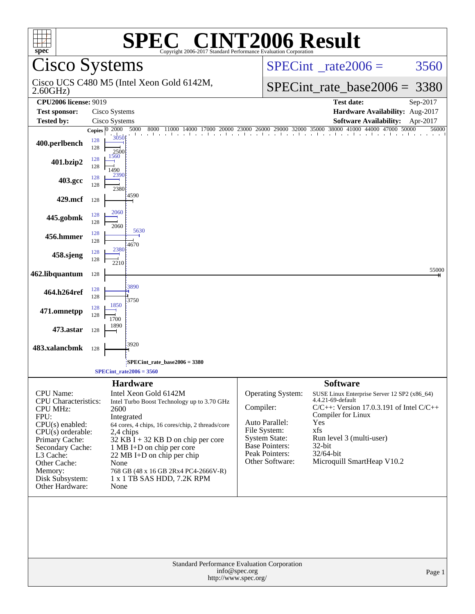| <b>SPEC<sup>®</sup> CINT2006 Result</b><br>spec <sup>®</sup><br>Copyright 2006-2017 Standard Performance Evaluation Corporation                                                                                                     |                                |                                                                                                                                                                   |                                                                                                                                                                                 |                                       |                                                                                                                                                  |                                                                                                                                                                                                                                         |                            |  |  |  |
|-------------------------------------------------------------------------------------------------------------------------------------------------------------------------------------------------------------------------------------|--------------------------------|-------------------------------------------------------------------------------------------------------------------------------------------------------------------|---------------------------------------------------------------------------------------------------------------------------------------------------------------------------------|---------------------------------------|--------------------------------------------------------------------------------------------------------------------------------------------------|-----------------------------------------------------------------------------------------------------------------------------------------------------------------------------------------------------------------------------------------|----------------------------|--|--|--|
| <b>Cisco Systems</b>                                                                                                                                                                                                                |                                |                                                                                                                                                                   |                                                                                                                                                                                 |                                       | $SPECint^{\circ}$ rate $2006 =$                                                                                                                  | 3560                                                                                                                                                                                                                                    |                            |  |  |  |
| 2.60GHz                                                                                                                                                                                                                             |                                | Cisco UCS C480 M5 (Intel Xeon Gold 6142M,                                                                                                                         |                                                                                                                                                                                 |                                       | $SPECint_rate\_base2006 =$                                                                                                                       | 3380                                                                                                                                                                                                                                    |                            |  |  |  |
| <b>CPU2006</b> license: 9019<br><b>Test sponsor:</b>                                                                                                                                                                                |                                | Cisco Systems                                                                                                                                                     |                                                                                                                                                                                 |                                       | <b>Test date:</b><br>Sep-2017<br>Hardware Availability: Aug-2017                                                                                 |                                                                                                                                                                                                                                         |                            |  |  |  |
| <b>Tested by:</b>                                                                                                                                                                                                                   |                                | Cisco Systems                                                                                                                                                     |                                                                                                                                                                                 |                                       |                                                                                                                                                  | <b>Software Availability:</b>                                                                                                                                                                                                           | Apr-2017                   |  |  |  |
| 400.perlbench                                                                                                                                                                                                                       | Copies $ 0\rangle$ 2000<br>128 | 5000<br>8000<br>description of the con-<br>3050                                                                                                                   | 11000                                                                                                                                                                           |                                       |                                                                                                                                                  | 4000 17000 20000 23000 26000 29000 32000 35000 38000 41000 44000 47000 5                                                                                                                                                                | 44000 47000 50000<br>56000 |  |  |  |
| 401.bzip2                                                                                                                                                                                                                           | 128<br>128<br>128              | 2500<br>1560                                                                                                                                                      |                                                                                                                                                                                 |                                       |                                                                                                                                                  |                                                                                                                                                                                                                                         |                            |  |  |  |
| 403.gcc                                                                                                                                                                                                                             | 128<br>128                     | 1490<br>2390                                                                                                                                                      |                                                                                                                                                                                 |                                       |                                                                                                                                                  |                                                                                                                                                                                                                                         |                            |  |  |  |
| 429.mcf                                                                                                                                                                                                                             | 128                            | 2380<br>:4590                                                                                                                                                     |                                                                                                                                                                                 |                                       |                                                                                                                                                  |                                                                                                                                                                                                                                         |                            |  |  |  |
| 445.gobmk                                                                                                                                                                                                                           | 128<br>128                     | 2060<br>2060                                                                                                                                                      |                                                                                                                                                                                 |                                       |                                                                                                                                                  |                                                                                                                                                                                                                                         |                            |  |  |  |
| 456.hmmer                                                                                                                                                                                                                           | 128<br>128                     | 5630<br>:4670<br>2380                                                                                                                                             |                                                                                                                                                                                 |                                       |                                                                                                                                                  |                                                                                                                                                                                                                                         |                            |  |  |  |
| 458.sjeng                                                                                                                                                                                                                           | 128<br>128                     | 2210                                                                                                                                                              |                                                                                                                                                                                 |                                       |                                                                                                                                                  |                                                                                                                                                                                                                                         | 55000                      |  |  |  |
| 462.libquantum                                                                                                                                                                                                                      | 128<br>128                     | 3890                                                                                                                                                              |                                                                                                                                                                                 |                                       |                                                                                                                                                  |                                                                                                                                                                                                                                         |                            |  |  |  |
| 464.h264ref<br>471.omnetpp                                                                                                                                                                                                          | 128<br>128                     | 3750<br>1850                                                                                                                                                      |                                                                                                                                                                                 |                                       |                                                                                                                                                  |                                                                                                                                                                                                                                         |                            |  |  |  |
| 473.astar                                                                                                                                                                                                                           | 128<br>128                     | 1700<br>1890                                                                                                                                                      |                                                                                                                                                                                 |                                       |                                                                                                                                                  |                                                                                                                                                                                                                                         |                            |  |  |  |
| 483.xalancbmk                                                                                                                                                                                                                       | 128                            | 3920                                                                                                                                                              |                                                                                                                                                                                 |                                       |                                                                                                                                                  |                                                                                                                                                                                                                                         |                            |  |  |  |
|                                                                                                                                                                                                                                     |                                | SPECint_rate_base2006 = 3380<br>$SPECint_rate2006 = 3560$                                                                                                         |                                                                                                                                                                                 |                                       |                                                                                                                                                  |                                                                                                                                                                                                                                         |                            |  |  |  |
|                                                                                                                                                                                                                                     |                                | <b>Hardware</b>                                                                                                                                                   |                                                                                                                                                                                 |                                       |                                                                                                                                                  | <b>Software</b>                                                                                                                                                                                                                         |                            |  |  |  |
| CPU Name:<br><b>CPU</b> Characteristics:<br><b>CPU MHz:</b><br>FPU:<br>$CPU(s)$ enabled:<br>$CPU(s)$ orderable:<br>Primary Cache:<br>Secondary Cache:<br>L3 Cache:<br>Other Cache:<br>Memory:<br>Disk Subsystem:<br>Other Hardware: |                                | Intel Xeon Gold 6142M<br>2600<br>Integrated<br>2,4 chips<br>1 MB I+D on chip per core<br>22 MB I+D on chip per chip<br>None<br>1 x 1 TB SAS HDD, 7.2K RPM<br>None | Intel Turbo Boost Technology up to 3.70 GHz<br>64 cores, 4 chips, 16 cores/chip, 2 threads/core<br>$32$ KB I + 32 KB D on chip per core<br>768 GB (48 x 16 GB 2Rx4 PC4-2666V-R) | Compiler:                             | <b>Operating System:</b><br>Auto Parallel:<br>File System:<br><b>System State:</b><br><b>Base Pointers:</b><br>Peak Pointers:<br>Other Software: | SUSE Linux Enterprise Server 12 SP2 (x86_64)<br>4.4.21-69-default<br>$C/C++$ : Version 17.0.3.191 of Intel $C/C++$<br>Compiler for Linux<br>Yes<br>xfs<br>Run level 3 (multi-user)<br>32-bit<br>32/64-bit<br>Microquill SmartHeap V10.2 |                            |  |  |  |
|                                                                                                                                                                                                                                     |                                |                                                                                                                                                                   | <b>Standard Performance Evaluation Corporation</b>                                                                                                                              | info@spec.org<br>http://www.spec.org/ |                                                                                                                                                  |                                                                                                                                                                                                                                         | Page 1                     |  |  |  |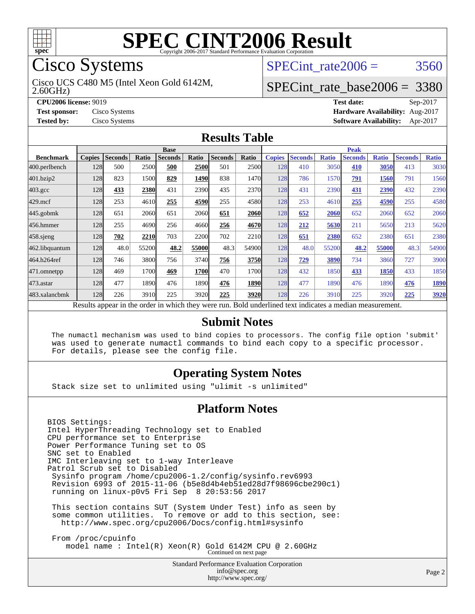

## Cisco Systems

2.60GHz) Cisco UCS C480 M5 (Intel Xeon Gold 6142M, SPECint rate  $2006 = 3560$ 

## [SPECint\\_rate\\_base2006 =](http://www.spec.org/auto/cpu2006/Docs/result-fields.html#SPECintratebase2006) 3380

**[CPU2006 license:](http://www.spec.org/auto/cpu2006/Docs/result-fields.html#CPU2006license)** 9019 **[Test date:](http://www.spec.org/auto/cpu2006/Docs/result-fields.html#Testdate)** Sep-2017 **[Test sponsor:](http://www.spec.org/auto/cpu2006/Docs/result-fields.html#Testsponsor)** Cisco Systems **[Hardware Availability:](http://www.spec.org/auto/cpu2006/Docs/result-fields.html#HardwareAvailability)** Aug-2017 **[Tested by:](http://www.spec.org/auto/cpu2006/Docs/result-fields.html#Testedby)** Cisco Systems **[Software Availability:](http://www.spec.org/auto/cpu2006/Docs/result-fields.html#SoftwareAvailability)** Apr-2017

#### **[Results Table](http://www.spec.org/auto/cpu2006/Docs/result-fields.html#ResultsTable)**

|                                                                                                          | <b>Base</b>   |                |       |                |             |                |             | <b>Peak</b>   |                |              |                |              |                |              |
|----------------------------------------------------------------------------------------------------------|---------------|----------------|-------|----------------|-------------|----------------|-------------|---------------|----------------|--------------|----------------|--------------|----------------|--------------|
| <b>Benchmark</b>                                                                                         | <b>Copies</b> | <b>Seconds</b> | Ratio | <b>Seconds</b> | Ratio       | <b>Seconds</b> | Ratio       | <b>Copies</b> | <b>Seconds</b> | <b>Ratio</b> | <b>Seconds</b> | <b>Ratio</b> | <b>Seconds</b> | <b>Ratio</b> |
| 400.perlbench                                                                                            | 128           | 500            | 2500  | 500            | 2500        | 501            | <b>2500</b> | 128           | 410            | 3050         | 410            | 3050         | 413            | 3030         |
| 401.bzip2                                                                                                | 128           | 823            | 1500  | 829            | 1490        | 838            | 1470        | 128           | 786            | 1570         | 791            | 1560         | 791            | 1560         |
| $403.\mathrm{gcc}$                                                                                       | 128           | 433            | 2380  | 431            | 2390        | 435            | 2370        | 128           | 431            | 2390         | 431            | 2390         | 432            | 2390         |
| $429$ .mcf                                                                                               | 128           | 253            | 4610  | 255            | 4590        | 255            | 4580        | 128           | 253            | 4610         | 255            | 4590         | 255            | 4580         |
| $445$ .gobmk                                                                                             | 128           | 651            | 2060  | 651            | 2060        | 651            | 2060        | 128           | 652            | 2060         | 652            | 2060         | 652            | 2060         |
| 456.hmmer                                                                                                | 128           | 255            | 4690  | 256            | 4660        | 256            | 4670        | 128           | 212            | 5630         | 211            | 5650         | 213            | 5620         |
| $458$ .sjeng                                                                                             | 128           | 702            | 2210  | 703            | 2200        | 702            | <b>2210</b> | 128           | 651            | 2380         | 652            | 2380         | 651            | 2380         |
| 462.libquantum                                                                                           | 128           | 48.0           | 55200 | 48.2           | 55000       | 48.3           | 54900       | 128           | 48.0           | 55200        | 48.2           | 55000        | 48.3           | 54900        |
| 464.h264ref                                                                                              | 128           | 746            | 3800  | 756            | 3740        | 756            | 3750        | 128           | 729            | 3890         | 734            | 3860         | 727            | 3900         |
| 471.omnetpp                                                                                              | 128           | 469            | 1700  | 469            | <b>1700</b> | 470            | 1700        | 128           | 432            | 1850         | 433            | 1850         | 433            | 1850         |
| $473.$ astar                                                                                             | 128           | 477            | 1890  | 476            | 1890        | 476            | <b>1890</b> | 128           | 477            | 1890         | 476            | 1890         | 476            | 1890         |
| 483.xalancbmk                                                                                            | 128           | 226            | 3910  | 225            | 3920        | 225            | 3920        | 128           | 226            | 3910         | 225            | 3920         | 225            | 3920         |
| Results appear in the order in which they were run. Bold underlined text indicates a median measurement. |               |                |       |                |             |                |             |               |                |              |                |              |                |              |

**[Submit Notes](http://www.spec.org/auto/cpu2006/Docs/result-fields.html#SubmitNotes)**

 The numactl mechanism was used to bind copies to processors. The config file option 'submit' was used to generate numactl commands to bind each copy to a specific processor. For details, please see the config file.

### **[Operating System Notes](http://www.spec.org/auto/cpu2006/Docs/result-fields.html#OperatingSystemNotes)**

Stack size set to unlimited using "ulimit -s unlimited"

#### **[Platform Notes](http://www.spec.org/auto/cpu2006/Docs/result-fields.html#PlatformNotes)**

BIOS Settings: Intel HyperThreading Technology set to Enabled CPU performance set to Enterprise Power Performance Tuning set to OS SNC set to Enabled IMC Interleaving set to 1-way Interleave Patrol Scrub set to Disabled Sysinfo program /home/cpu2006-1.2/config/sysinfo.rev6993 Revision 6993 of 2015-11-06 (b5e8d4b4eb51ed28d7f98696cbe290c1) running on linux-p0v5 Fri Sep 8 20:53:56 2017 This section contains SUT (System Under Test) info as seen by some common utilities. To remove or add to this section, see: <http://www.spec.org/cpu2006/Docs/config.html#sysinfo>

 From /proc/cpuinfo model name : Intel(R) Xeon(R) Gold 6142M CPU @ 2.60GHz Continued on next page

> Standard Performance Evaluation Corporation [info@spec.org](mailto:info@spec.org) <http://www.spec.org/>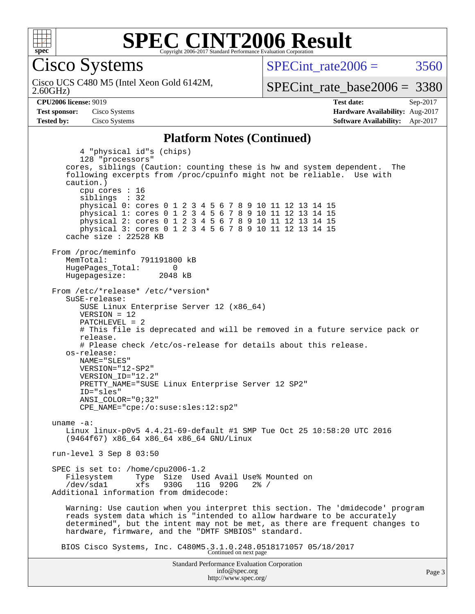

Cisco Systems

2.60GHz) Cisco UCS C480 M5 (Intel Xeon Gold 6142M, SPECint rate  $2006 = 3560$ 

[SPECint\\_rate\\_base2006 =](http://www.spec.org/auto/cpu2006/Docs/result-fields.html#SPECintratebase2006) 3380

**[CPU2006 license:](http://www.spec.org/auto/cpu2006/Docs/result-fields.html#CPU2006license)** 9019 **[Test date:](http://www.spec.org/auto/cpu2006/Docs/result-fields.html#Testdate)** Sep-2017 **[Test sponsor:](http://www.spec.org/auto/cpu2006/Docs/result-fields.html#Testsponsor)** Cisco Systems **[Hardware Availability:](http://www.spec.org/auto/cpu2006/Docs/result-fields.html#HardwareAvailability)** Aug-2017 **[Tested by:](http://www.spec.org/auto/cpu2006/Docs/result-fields.html#Testedby)** Cisco Systems **[Software Availability:](http://www.spec.org/auto/cpu2006/Docs/result-fields.html#SoftwareAvailability)** Apr-2017

#### **[Platform Notes \(Continued\)](http://www.spec.org/auto/cpu2006/Docs/result-fields.html#PlatformNotes)**

Standard Performance Evaluation Corporation [info@spec.org](mailto:info@spec.org) 4 "physical id"s (chips) 128 "processors" cores, siblings (Caution: counting these is hw and system dependent. The following excerpts from /proc/cpuinfo might not be reliable. Use with caution.) cpu cores : 16 siblings : 32 physical 0: cores 0 1 2 3 4 5 6 7 8 9 10 11 12 13 14 15 physical 1: cores 0 1 2 3 4 5 6 7 8 9 10 11 12 13 14 15 physical 2: cores 0 1 2 3 4 5 6 7 8 9 10 11 12 13 14 15 physical 3: cores 0 1 2 3 4 5 6 7 8 9 10 11 12 13 14 15 cache size : 22528 KB From /proc/meminfo MemTotal: 791191800 kB HugePages\_Total: 0<br>Hugepagesize: 2048 kB Hugepagesize: From /etc/\*release\* /etc/\*version\* SuSE-release: SUSE Linux Enterprise Server 12 (x86\_64) VERSION = 12 PATCHLEVEL = 2 # This file is deprecated and will be removed in a future service pack or release. # Please check /etc/os-release for details about this release. os-release: NAME="SLES" VERSION="12-SP2" VERSION\_ID="12.2" PRETTY\_NAME="SUSE Linux Enterprise Server 12 SP2" ID="sles" ANSI\_COLOR="0;32" CPE\_NAME="cpe:/o:suse:sles:12:sp2" uname -a: Linux linux-p0v5 4.4.21-69-default #1 SMP Tue Oct 25 10:58:20 UTC 2016 (9464f67) x86\_64 x86\_64 x86\_64 GNU/Linux run-level 3 Sep 8 03:50 SPEC is set to: /home/cpu2006-1.2 Filesystem Type Size Used Avail Use% Mounted on<br>
/dev/sdal xfs 930G 11G 920G 2% / 11G 920G Additional information from dmidecode: Warning: Use caution when you interpret this section. The 'dmidecode' program reads system data which is "intended to allow hardware to be accurately determined", but the intent may not be met, as there are frequent changes to hardware, firmware, and the "DMTF SMBIOS" standard. BIOS Cisco Systems, Inc. C480M5.3.1.0.248.0518171057 05/18/2017 Continued on next page

<http://www.spec.org/>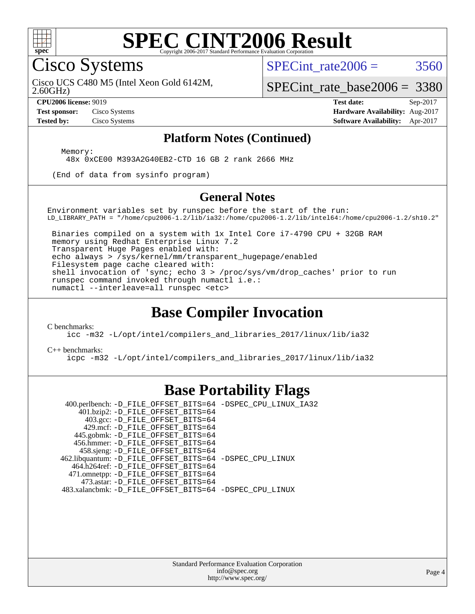

### **[SPEC CINT2006 Result](http://www.spec.org/auto/cpu2006/Docs/result-fields.html#SPECCINT2006Result)** Copyright 2006-2017 Standard Performance Evaluation C

Cisco Systems

SPECint rate  $2006 = 3560$ 

2.60GHz) Cisco UCS C480 M5 (Intel Xeon Gold 6142M,

[SPECint\\_rate\\_base2006 =](http://www.spec.org/auto/cpu2006/Docs/result-fields.html#SPECintratebase2006) 3380

**[CPU2006 license:](http://www.spec.org/auto/cpu2006/Docs/result-fields.html#CPU2006license)** 9019 **[Test date:](http://www.spec.org/auto/cpu2006/Docs/result-fields.html#Testdate)** Sep-2017 **[Test sponsor:](http://www.spec.org/auto/cpu2006/Docs/result-fields.html#Testsponsor)** Cisco Systems **[Hardware Availability:](http://www.spec.org/auto/cpu2006/Docs/result-fields.html#HardwareAvailability)** Aug-2017 **[Tested by:](http://www.spec.org/auto/cpu2006/Docs/result-fields.html#Testedby)** Cisco Systems **[Software Availability:](http://www.spec.org/auto/cpu2006/Docs/result-fields.html#SoftwareAvailability)** Apr-2017

#### **[Platform Notes \(Continued\)](http://www.spec.org/auto/cpu2006/Docs/result-fields.html#PlatformNotes)**

Memory:

48x 0xCE00 M393A2G40EB2-CTD 16 GB 2 rank 2666 MHz

(End of data from sysinfo program)

#### **[General Notes](http://www.spec.org/auto/cpu2006/Docs/result-fields.html#GeneralNotes)**

Environment variables set by runspec before the start of the run: LD\_LIBRARY\_PATH = "/home/cpu2006-1.2/lib/ia32:/home/cpu2006-1.2/lib/intel64:/home/cpu2006-1.2/sh10.2"

 Binaries compiled on a system with 1x Intel Core i7-4790 CPU + 32GB RAM memory using Redhat Enterprise Linux 7.2 Transparent Huge Pages enabled with: echo always > /sys/kernel/mm/transparent\_hugepage/enabled Filesystem page cache cleared with: shell invocation of 'sync; echo 3 > /proc/sys/vm/drop\_caches' prior to run runspec command invoked through numactl i.e.: numactl --interleave=all runspec <etc>

### **[Base Compiler Invocation](http://www.spec.org/auto/cpu2006/Docs/result-fields.html#BaseCompilerInvocation)**

[C benchmarks](http://www.spec.org/auto/cpu2006/Docs/result-fields.html#Cbenchmarks):

[icc -m32 -L/opt/intel/compilers\\_and\\_libraries\\_2017/linux/lib/ia32](http://www.spec.org/cpu2006/results/res2017q4/cpu2006-20170919-50152.flags.html#user_CCbase_intel_icc_c29f3ff5a7ed067b11e4ec10a03f03ae)

[C++ benchmarks:](http://www.spec.org/auto/cpu2006/Docs/result-fields.html#CXXbenchmarks)

[icpc -m32 -L/opt/intel/compilers\\_and\\_libraries\\_2017/linux/lib/ia32](http://www.spec.org/cpu2006/results/res2017q4/cpu2006-20170919-50152.flags.html#user_CXXbase_intel_icpc_8c35c7808b62dab9ae41a1aa06361b6b)

### **[Base Portability Flags](http://www.spec.org/auto/cpu2006/Docs/result-fields.html#BasePortabilityFlags)**

 400.perlbench: [-D\\_FILE\\_OFFSET\\_BITS=64](http://www.spec.org/cpu2006/results/res2017q4/cpu2006-20170919-50152.flags.html#user_basePORTABILITY400_perlbench_file_offset_bits_64_438cf9856305ebd76870a2c6dc2689ab) [-DSPEC\\_CPU\\_LINUX\\_IA32](http://www.spec.org/cpu2006/results/res2017q4/cpu2006-20170919-50152.flags.html#b400.perlbench_baseCPORTABILITY_DSPEC_CPU_LINUX_IA32) 401.bzip2: [-D\\_FILE\\_OFFSET\\_BITS=64](http://www.spec.org/cpu2006/results/res2017q4/cpu2006-20170919-50152.flags.html#user_basePORTABILITY401_bzip2_file_offset_bits_64_438cf9856305ebd76870a2c6dc2689ab) 403.gcc: [-D\\_FILE\\_OFFSET\\_BITS=64](http://www.spec.org/cpu2006/results/res2017q4/cpu2006-20170919-50152.flags.html#user_basePORTABILITY403_gcc_file_offset_bits_64_438cf9856305ebd76870a2c6dc2689ab) 429.mcf: [-D\\_FILE\\_OFFSET\\_BITS=64](http://www.spec.org/cpu2006/results/res2017q4/cpu2006-20170919-50152.flags.html#user_basePORTABILITY429_mcf_file_offset_bits_64_438cf9856305ebd76870a2c6dc2689ab) 445.gobmk: [-D\\_FILE\\_OFFSET\\_BITS=64](http://www.spec.org/cpu2006/results/res2017q4/cpu2006-20170919-50152.flags.html#user_basePORTABILITY445_gobmk_file_offset_bits_64_438cf9856305ebd76870a2c6dc2689ab) 456.hmmer: [-D\\_FILE\\_OFFSET\\_BITS=64](http://www.spec.org/cpu2006/results/res2017q4/cpu2006-20170919-50152.flags.html#user_basePORTABILITY456_hmmer_file_offset_bits_64_438cf9856305ebd76870a2c6dc2689ab) 458.sjeng: [-D\\_FILE\\_OFFSET\\_BITS=64](http://www.spec.org/cpu2006/results/res2017q4/cpu2006-20170919-50152.flags.html#user_basePORTABILITY458_sjeng_file_offset_bits_64_438cf9856305ebd76870a2c6dc2689ab) 462.libquantum: [-D\\_FILE\\_OFFSET\\_BITS=64](http://www.spec.org/cpu2006/results/res2017q4/cpu2006-20170919-50152.flags.html#user_basePORTABILITY462_libquantum_file_offset_bits_64_438cf9856305ebd76870a2c6dc2689ab) [-DSPEC\\_CPU\\_LINUX](http://www.spec.org/cpu2006/results/res2017q4/cpu2006-20170919-50152.flags.html#b462.libquantum_baseCPORTABILITY_DSPEC_CPU_LINUX) 464.h264ref: [-D\\_FILE\\_OFFSET\\_BITS=64](http://www.spec.org/cpu2006/results/res2017q4/cpu2006-20170919-50152.flags.html#user_basePORTABILITY464_h264ref_file_offset_bits_64_438cf9856305ebd76870a2c6dc2689ab) 471.omnetpp: [-D\\_FILE\\_OFFSET\\_BITS=64](http://www.spec.org/cpu2006/results/res2017q4/cpu2006-20170919-50152.flags.html#user_basePORTABILITY471_omnetpp_file_offset_bits_64_438cf9856305ebd76870a2c6dc2689ab) 473.astar: [-D\\_FILE\\_OFFSET\\_BITS=64](http://www.spec.org/cpu2006/results/res2017q4/cpu2006-20170919-50152.flags.html#user_basePORTABILITY473_astar_file_offset_bits_64_438cf9856305ebd76870a2c6dc2689ab) 483.xalancbmk: [-D\\_FILE\\_OFFSET\\_BITS=64](http://www.spec.org/cpu2006/results/res2017q4/cpu2006-20170919-50152.flags.html#user_basePORTABILITY483_xalancbmk_file_offset_bits_64_438cf9856305ebd76870a2c6dc2689ab) [-DSPEC\\_CPU\\_LINUX](http://www.spec.org/cpu2006/results/res2017q4/cpu2006-20170919-50152.flags.html#b483.xalancbmk_baseCXXPORTABILITY_DSPEC_CPU_LINUX)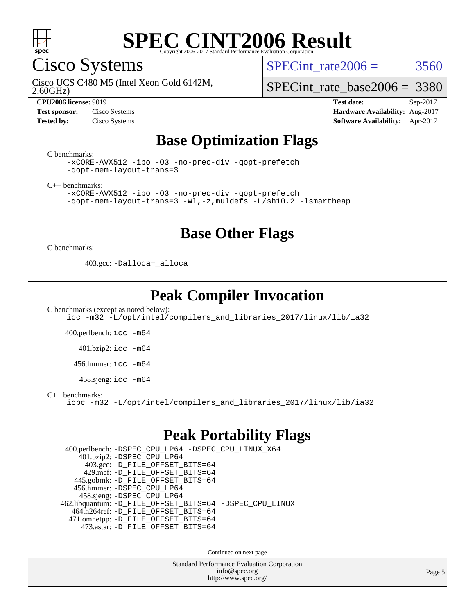

Cisco Systems

SPECint rate  $2006 = 3560$ 

2.60GHz) Cisco UCS C480 M5 (Intel Xeon Gold 6142M,

[SPECint\\_rate\\_base2006 =](http://www.spec.org/auto/cpu2006/Docs/result-fields.html#SPECintratebase2006) 3380

**[Test sponsor:](http://www.spec.org/auto/cpu2006/Docs/result-fields.html#Testsponsor)** Cisco Systems **[Hardware Availability:](http://www.spec.org/auto/cpu2006/Docs/result-fields.html#HardwareAvailability)** Aug-2017

**[CPU2006 license:](http://www.spec.org/auto/cpu2006/Docs/result-fields.html#CPU2006license)** 9019 **[Test date:](http://www.spec.org/auto/cpu2006/Docs/result-fields.html#Testdate)** Sep-2017 **[Tested by:](http://www.spec.org/auto/cpu2006/Docs/result-fields.html#Testedby)** Cisco Systems **[Software Availability:](http://www.spec.org/auto/cpu2006/Docs/result-fields.html#SoftwareAvailability)** Apr-2017

## **[Base Optimization Flags](http://www.spec.org/auto/cpu2006/Docs/result-fields.html#BaseOptimizationFlags)**

[C benchmarks](http://www.spec.org/auto/cpu2006/Docs/result-fields.html#Cbenchmarks):

[-xCORE-AVX512](http://www.spec.org/cpu2006/results/res2017q4/cpu2006-20170919-50152.flags.html#user_CCbase_f-xCORE-AVX512) [-ipo](http://www.spec.org/cpu2006/results/res2017q4/cpu2006-20170919-50152.flags.html#user_CCbase_f-ipo) [-O3](http://www.spec.org/cpu2006/results/res2017q4/cpu2006-20170919-50152.flags.html#user_CCbase_f-O3) [-no-prec-div](http://www.spec.org/cpu2006/results/res2017q4/cpu2006-20170919-50152.flags.html#user_CCbase_f-no-prec-div) [-qopt-prefetch](http://www.spec.org/cpu2006/results/res2017q4/cpu2006-20170919-50152.flags.html#user_CCbase_f-qopt-prefetch) [-qopt-mem-layout-trans=3](http://www.spec.org/cpu2006/results/res2017q4/cpu2006-20170919-50152.flags.html#user_CCbase_f-qopt-mem-layout-trans_170f5be61cd2cedc9b54468c59262d5d)

[C++ benchmarks:](http://www.spec.org/auto/cpu2006/Docs/result-fields.html#CXXbenchmarks)

[-xCORE-AVX512](http://www.spec.org/cpu2006/results/res2017q4/cpu2006-20170919-50152.flags.html#user_CXXbase_f-xCORE-AVX512) [-ipo](http://www.spec.org/cpu2006/results/res2017q4/cpu2006-20170919-50152.flags.html#user_CXXbase_f-ipo) [-O3](http://www.spec.org/cpu2006/results/res2017q4/cpu2006-20170919-50152.flags.html#user_CXXbase_f-O3) [-no-prec-div](http://www.spec.org/cpu2006/results/res2017q4/cpu2006-20170919-50152.flags.html#user_CXXbase_f-no-prec-div) [-qopt-prefetch](http://www.spec.org/cpu2006/results/res2017q4/cpu2006-20170919-50152.flags.html#user_CXXbase_f-qopt-prefetch) [-qopt-mem-layout-trans=3](http://www.spec.org/cpu2006/results/res2017q4/cpu2006-20170919-50152.flags.html#user_CXXbase_f-qopt-mem-layout-trans_170f5be61cd2cedc9b54468c59262d5d) [-Wl,-z,muldefs](http://www.spec.org/cpu2006/results/res2017q4/cpu2006-20170919-50152.flags.html#user_CXXbase_link_force_multiple1_74079c344b956b9658436fd1b6dd3a8a) [-L/sh10.2 -lsmartheap](http://www.spec.org/cpu2006/results/res2017q4/cpu2006-20170919-50152.flags.html#user_CXXbase_SmartHeap_b831f2d313e2fffa6dfe3f00ffc1f1c0)

### **[Base Other Flags](http://www.spec.org/auto/cpu2006/Docs/result-fields.html#BaseOtherFlags)**

[C benchmarks](http://www.spec.org/auto/cpu2006/Docs/result-fields.html#Cbenchmarks):

403.gcc: [-Dalloca=\\_alloca](http://www.spec.org/cpu2006/results/res2017q4/cpu2006-20170919-50152.flags.html#b403.gcc_baseEXTRA_CFLAGS_Dalloca_be3056838c12de2578596ca5467af7f3)

## **[Peak Compiler Invocation](http://www.spec.org/auto/cpu2006/Docs/result-fields.html#PeakCompilerInvocation)**

[C benchmarks \(except as noted below\)](http://www.spec.org/auto/cpu2006/Docs/result-fields.html#Cbenchmarksexceptasnotedbelow): [icc -m32 -L/opt/intel/compilers\\_and\\_libraries\\_2017/linux/lib/ia32](http://www.spec.org/cpu2006/results/res2017q4/cpu2006-20170919-50152.flags.html#user_CCpeak_intel_icc_c29f3ff5a7ed067b11e4ec10a03f03ae)

400.perlbench: [icc -m64](http://www.spec.org/cpu2006/results/res2017q4/cpu2006-20170919-50152.flags.html#user_peakCCLD400_perlbench_intel_icc_64bit_bda6cc9af1fdbb0edc3795bac97ada53)

401.bzip2: [icc -m64](http://www.spec.org/cpu2006/results/res2017q4/cpu2006-20170919-50152.flags.html#user_peakCCLD401_bzip2_intel_icc_64bit_bda6cc9af1fdbb0edc3795bac97ada53)

456.hmmer: [icc -m64](http://www.spec.org/cpu2006/results/res2017q4/cpu2006-20170919-50152.flags.html#user_peakCCLD456_hmmer_intel_icc_64bit_bda6cc9af1fdbb0edc3795bac97ada53)

458.sjeng: [icc -m64](http://www.spec.org/cpu2006/results/res2017q4/cpu2006-20170919-50152.flags.html#user_peakCCLD458_sjeng_intel_icc_64bit_bda6cc9af1fdbb0edc3795bac97ada53)

[C++ benchmarks:](http://www.spec.org/auto/cpu2006/Docs/result-fields.html#CXXbenchmarks)

[icpc -m32 -L/opt/intel/compilers\\_and\\_libraries\\_2017/linux/lib/ia32](http://www.spec.org/cpu2006/results/res2017q4/cpu2006-20170919-50152.flags.html#user_CXXpeak_intel_icpc_8c35c7808b62dab9ae41a1aa06361b6b)

### **[Peak Portability Flags](http://www.spec.org/auto/cpu2006/Docs/result-fields.html#PeakPortabilityFlags)**

 400.perlbench: [-DSPEC\\_CPU\\_LP64](http://www.spec.org/cpu2006/results/res2017q4/cpu2006-20170919-50152.flags.html#b400.perlbench_peakCPORTABILITY_DSPEC_CPU_LP64) [-DSPEC\\_CPU\\_LINUX\\_X64](http://www.spec.org/cpu2006/results/res2017q4/cpu2006-20170919-50152.flags.html#b400.perlbench_peakCPORTABILITY_DSPEC_CPU_LINUX_X64) 401.bzip2: [-DSPEC\\_CPU\\_LP64](http://www.spec.org/cpu2006/results/res2017q4/cpu2006-20170919-50152.flags.html#suite_peakCPORTABILITY401_bzip2_DSPEC_CPU_LP64) 403.gcc: [-D\\_FILE\\_OFFSET\\_BITS=64](http://www.spec.org/cpu2006/results/res2017q4/cpu2006-20170919-50152.flags.html#user_peakPORTABILITY403_gcc_file_offset_bits_64_438cf9856305ebd76870a2c6dc2689ab) 429.mcf: [-D\\_FILE\\_OFFSET\\_BITS=64](http://www.spec.org/cpu2006/results/res2017q4/cpu2006-20170919-50152.flags.html#user_peakPORTABILITY429_mcf_file_offset_bits_64_438cf9856305ebd76870a2c6dc2689ab) 445.gobmk: [-D\\_FILE\\_OFFSET\\_BITS=64](http://www.spec.org/cpu2006/results/res2017q4/cpu2006-20170919-50152.flags.html#user_peakPORTABILITY445_gobmk_file_offset_bits_64_438cf9856305ebd76870a2c6dc2689ab) 456.hmmer: [-DSPEC\\_CPU\\_LP64](http://www.spec.org/cpu2006/results/res2017q4/cpu2006-20170919-50152.flags.html#suite_peakCPORTABILITY456_hmmer_DSPEC_CPU_LP64) 458.sjeng: [-DSPEC\\_CPU\\_LP64](http://www.spec.org/cpu2006/results/res2017q4/cpu2006-20170919-50152.flags.html#suite_peakCPORTABILITY458_sjeng_DSPEC_CPU_LP64) 462.libquantum: [-D\\_FILE\\_OFFSET\\_BITS=64](http://www.spec.org/cpu2006/results/res2017q4/cpu2006-20170919-50152.flags.html#user_peakPORTABILITY462_libquantum_file_offset_bits_64_438cf9856305ebd76870a2c6dc2689ab) [-DSPEC\\_CPU\\_LINUX](http://www.spec.org/cpu2006/results/res2017q4/cpu2006-20170919-50152.flags.html#b462.libquantum_peakCPORTABILITY_DSPEC_CPU_LINUX) 464.h264ref: [-D\\_FILE\\_OFFSET\\_BITS=64](http://www.spec.org/cpu2006/results/res2017q4/cpu2006-20170919-50152.flags.html#user_peakPORTABILITY464_h264ref_file_offset_bits_64_438cf9856305ebd76870a2c6dc2689ab) 471.omnetpp: [-D\\_FILE\\_OFFSET\\_BITS=64](http://www.spec.org/cpu2006/results/res2017q4/cpu2006-20170919-50152.flags.html#user_peakPORTABILITY471_omnetpp_file_offset_bits_64_438cf9856305ebd76870a2c6dc2689ab) 473.astar: [-D\\_FILE\\_OFFSET\\_BITS=64](http://www.spec.org/cpu2006/results/res2017q4/cpu2006-20170919-50152.flags.html#user_peakPORTABILITY473_astar_file_offset_bits_64_438cf9856305ebd76870a2c6dc2689ab)

Continued on next page

Standard Performance Evaluation Corporation [info@spec.org](mailto:info@spec.org) <http://www.spec.org/>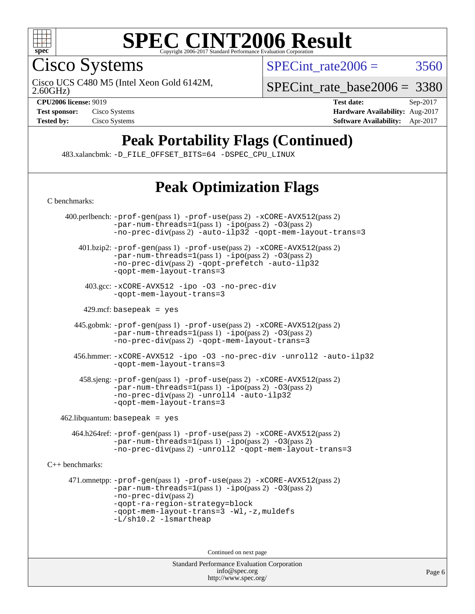

Cisco Systems

SPECint rate  $2006 = 3560$ 

2.60GHz) Cisco UCS C480 M5 (Intel Xeon Gold 6142M,

[SPECint\\_rate\\_base2006 =](http://www.spec.org/auto/cpu2006/Docs/result-fields.html#SPECintratebase2006) 3380

**[CPU2006 license:](http://www.spec.org/auto/cpu2006/Docs/result-fields.html#CPU2006license)** 9019 **[Test date:](http://www.spec.org/auto/cpu2006/Docs/result-fields.html#Testdate)** Sep-2017 **[Test sponsor:](http://www.spec.org/auto/cpu2006/Docs/result-fields.html#Testsponsor)** Cisco Systems **[Hardware Availability:](http://www.spec.org/auto/cpu2006/Docs/result-fields.html#HardwareAvailability)** Aug-2017 **[Tested by:](http://www.spec.org/auto/cpu2006/Docs/result-fields.html#Testedby)** Cisco Systems **[Software Availability:](http://www.spec.org/auto/cpu2006/Docs/result-fields.html#SoftwareAvailability)** Apr-2017

## **[Peak Portability Flags \(Continued\)](http://www.spec.org/auto/cpu2006/Docs/result-fields.html#PeakPortabilityFlags)**

483.xalancbmk: [-D\\_FILE\\_OFFSET\\_BITS=64](http://www.spec.org/cpu2006/results/res2017q4/cpu2006-20170919-50152.flags.html#user_peakPORTABILITY483_xalancbmk_file_offset_bits_64_438cf9856305ebd76870a2c6dc2689ab) [-DSPEC\\_CPU\\_LINUX](http://www.spec.org/cpu2006/results/res2017q4/cpu2006-20170919-50152.flags.html#b483.xalancbmk_peakCXXPORTABILITY_DSPEC_CPU_LINUX)

## **[Peak Optimization Flags](http://www.spec.org/auto/cpu2006/Docs/result-fields.html#PeakOptimizationFlags)**

Standard Performance Evaluation Corporation [C benchmarks](http://www.spec.org/auto/cpu2006/Docs/result-fields.html#Cbenchmarks): 400.perlbench: [-prof-gen](http://www.spec.org/cpu2006/results/res2017q4/cpu2006-20170919-50152.flags.html#user_peakPASS1_CFLAGSPASS1_LDCFLAGS400_perlbench_prof_gen_e43856698f6ca7b7e442dfd80e94a8fc)(pass 1) [-prof-use](http://www.spec.org/cpu2006/results/res2017q4/cpu2006-20170919-50152.flags.html#user_peakPASS2_CFLAGSPASS2_LDCFLAGS400_perlbench_prof_use_bccf7792157ff70d64e32fe3e1250b55)(pass 2) [-xCORE-AVX512](http://www.spec.org/cpu2006/results/res2017q4/cpu2006-20170919-50152.flags.html#user_peakPASS2_CFLAGSPASS2_LDCFLAGS400_perlbench_f-xCORE-AVX512)(pass 2)  $-par-num-threads=1(pass 1) -ipo(pass 2) -O3(pass 2)$  $-par-num-threads=1(pass 1) -ipo(pass 2) -O3(pass 2)$  $-par-num-threads=1(pass 1) -ipo(pass 2) -O3(pass 2)$  $-par-num-threads=1(pass 1) -ipo(pass 2) -O3(pass 2)$  $-par-num-threads=1(pass 1) -ipo(pass 2) -O3(pass 2)$  $-par-num-threads=1(pass 1) -ipo(pass 2) -O3(pass 2)$ [-no-prec-div](http://www.spec.org/cpu2006/results/res2017q4/cpu2006-20170919-50152.flags.html#user_peakPASS2_CFLAGSPASS2_LDCFLAGS400_perlbench_f-no-prec-div)(pass 2) [-auto-ilp32](http://www.spec.org/cpu2006/results/res2017q4/cpu2006-20170919-50152.flags.html#user_peakCOPTIMIZE400_perlbench_f-auto-ilp32) [-qopt-mem-layout-trans=3](http://www.spec.org/cpu2006/results/res2017q4/cpu2006-20170919-50152.flags.html#user_peakCOPTIMIZE400_perlbench_f-qopt-mem-layout-trans_170f5be61cd2cedc9b54468c59262d5d) 401.bzip2: [-prof-gen](http://www.spec.org/cpu2006/results/res2017q4/cpu2006-20170919-50152.flags.html#user_peakPASS1_CFLAGSPASS1_LDCFLAGS401_bzip2_prof_gen_e43856698f6ca7b7e442dfd80e94a8fc)(pass 1) [-prof-use](http://www.spec.org/cpu2006/results/res2017q4/cpu2006-20170919-50152.flags.html#user_peakPASS2_CFLAGSPASS2_LDCFLAGS401_bzip2_prof_use_bccf7792157ff70d64e32fe3e1250b55)(pass 2) [-xCORE-AVX512](http://www.spec.org/cpu2006/results/res2017q4/cpu2006-20170919-50152.flags.html#user_peakPASS2_CFLAGSPASS2_LDCFLAGS401_bzip2_f-xCORE-AVX512)(pass 2) [-par-num-threads=1](http://www.spec.org/cpu2006/results/res2017q4/cpu2006-20170919-50152.flags.html#user_peakPASS1_CFLAGSPASS1_LDCFLAGS401_bzip2_par_num_threads_786a6ff141b4e9e90432e998842df6c2)(pass 1) [-ipo](http://www.spec.org/cpu2006/results/res2017q4/cpu2006-20170919-50152.flags.html#user_peakPASS2_CFLAGSPASS2_LDCFLAGS401_bzip2_f-ipo)(pass 2) [-O3](http://www.spec.org/cpu2006/results/res2017q4/cpu2006-20170919-50152.flags.html#user_peakPASS2_CFLAGSPASS2_LDCFLAGS401_bzip2_f-O3)(pass 2) [-no-prec-div](http://www.spec.org/cpu2006/results/res2017q4/cpu2006-20170919-50152.flags.html#user_peakPASS2_CFLAGSPASS2_LDCFLAGS401_bzip2_f-no-prec-div)(pass 2) [-qopt-prefetch](http://www.spec.org/cpu2006/results/res2017q4/cpu2006-20170919-50152.flags.html#user_peakCOPTIMIZE401_bzip2_f-qopt-prefetch) [-auto-ilp32](http://www.spec.org/cpu2006/results/res2017q4/cpu2006-20170919-50152.flags.html#user_peakCOPTIMIZE401_bzip2_f-auto-ilp32) [-qopt-mem-layout-trans=3](http://www.spec.org/cpu2006/results/res2017q4/cpu2006-20170919-50152.flags.html#user_peakCOPTIMIZE401_bzip2_f-qopt-mem-layout-trans_170f5be61cd2cedc9b54468c59262d5d) 403.gcc: [-xCORE-AVX512](http://www.spec.org/cpu2006/results/res2017q4/cpu2006-20170919-50152.flags.html#user_peakOPTIMIZE403_gcc_f-xCORE-AVX512) [-ipo](http://www.spec.org/cpu2006/results/res2017q4/cpu2006-20170919-50152.flags.html#user_peakOPTIMIZE403_gcc_f-ipo) [-O3](http://www.spec.org/cpu2006/results/res2017q4/cpu2006-20170919-50152.flags.html#user_peakOPTIMIZE403_gcc_f-O3) [-no-prec-div](http://www.spec.org/cpu2006/results/res2017q4/cpu2006-20170919-50152.flags.html#user_peakOPTIMIZE403_gcc_f-no-prec-div) [-qopt-mem-layout-trans=3](http://www.spec.org/cpu2006/results/res2017q4/cpu2006-20170919-50152.flags.html#user_peakCOPTIMIZE403_gcc_f-qopt-mem-layout-trans_170f5be61cd2cedc9b54468c59262d5d)  $429$ .mcf: basepeak = yes 445.gobmk: [-prof-gen](http://www.spec.org/cpu2006/results/res2017q4/cpu2006-20170919-50152.flags.html#user_peakPASS1_CFLAGSPASS1_LDCFLAGS445_gobmk_prof_gen_e43856698f6ca7b7e442dfd80e94a8fc)(pass 1) [-prof-use](http://www.spec.org/cpu2006/results/res2017q4/cpu2006-20170919-50152.flags.html#user_peakPASS2_CFLAGSPASS2_LDCFLAGSPASS2_LDFLAGS445_gobmk_prof_use_bccf7792157ff70d64e32fe3e1250b55)(pass 2) [-xCORE-AVX512](http://www.spec.org/cpu2006/results/res2017q4/cpu2006-20170919-50152.flags.html#user_peakPASS2_CFLAGSPASS2_LDCFLAGSPASS2_LDFLAGS445_gobmk_f-xCORE-AVX512)(pass 2)  $-par-num-threads=1(pass 1) -ipo(pass 2) -O3(pass 2)$  $-par-num-threads=1(pass 1) -ipo(pass 2) -O3(pass 2)$  $-par-num-threads=1(pass 1) -ipo(pass 2) -O3(pass 2)$  $-par-num-threads=1(pass 1) -ipo(pass 2) -O3(pass 2)$  $-par-num-threads=1(pass 1) -ipo(pass 2) -O3(pass 2)$  $-par-num-threads=1(pass 1) -ipo(pass 2) -O3(pass 2)$ [-no-prec-div](http://www.spec.org/cpu2006/results/res2017q4/cpu2006-20170919-50152.flags.html#user_peakPASS2_LDCFLAGS445_gobmk_f-no-prec-div)(pass 2) [-qopt-mem-layout-trans=3](http://www.spec.org/cpu2006/results/res2017q4/cpu2006-20170919-50152.flags.html#user_peakCOPTIMIZE445_gobmk_f-qopt-mem-layout-trans_170f5be61cd2cedc9b54468c59262d5d) 456.hmmer: [-xCORE-AVX512](http://www.spec.org/cpu2006/results/res2017q4/cpu2006-20170919-50152.flags.html#user_peakOPTIMIZE456_hmmer_f-xCORE-AVX512) [-ipo](http://www.spec.org/cpu2006/results/res2017q4/cpu2006-20170919-50152.flags.html#user_peakOPTIMIZE456_hmmer_f-ipo) [-O3](http://www.spec.org/cpu2006/results/res2017q4/cpu2006-20170919-50152.flags.html#user_peakOPTIMIZE456_hmmer_f-O3) [-no-prec-div](http://www.spec.org/cpu2006/results/res2017q4/cpu2006-20170919-50152.flags.html#user_peakOPTIMIZE456_hmmer_f-no-prec-div) [-unroll2](http://www.spec.org/cpu2006/results/res2017q4/cpu2006-20170919-50152.flags.html#user_peakCOPTIMIZE456_hmmer_f-unroll_784dae83bebfb236979b41d2422d7ec2) [-auto-ilp32](http://www.spec.org/cpu2006/results/res2017q4/cpu2006-20170919-50152.flags.html#user_peakCOPTIMIZE456_hmmer_f-auto-ilp32) [-qopt-mem-layout-trans=3](http://www.spec.org/cpu2006/results/res2017q4/cpu2006-20170919-50152.flags.html#user_peakCOPTIMIZE456_hmmer_f-qopt-mem-layout-trans_170f5be61cd2cedc9b54468c59262d5d) 458.sjeng: [-prof-gen](http://www.spec.org/cpu2006/results/res2017q4/cpu2006-20170919-50152.flags.html#user_peakPASS1_CFLAGSPASS1_LDCFLAGS458_sjeng_prof_gen_e43856698f6ca7b7e442dfd80e94a8fc)(pass 1) [-prof-use](http://www.spec.org/cpu2006/results/res2017q4/cpu2006-20170919-50152.flags.html#user_peakPASS2_CFLAGSPASS2_LDCFLAGS458_sjeng_prof_use_bccf7792157ff70d64e32fe3e1250b55)(pass 2) [-xCORE-AVX512](http://www.spec.org/cpu2006/results/res2017q4/cpu2006-20170919-50152.flags.html#user_peakPASS2_CFLAGSPASS2_LDCFLAGS458_sjeng_f-xCORE-AVX512)(pass 2) [-par-num-threads=1](http://www.spec.org/cpu2006/results/res2017q4/cpu2006-20170919-50152.flags.html#user_peakPASS1_CFLAGSPASS1_LDCFLAGS458_sjeng_par_num_threads_786a6ff141b4e9e90432e998842df6c2)(pass 1) [-ipo](http://www.spec.org/cpu2006/results/res2017q4/cpu2006-20170919-50152.flags.html#user_peakPASS2_CFLAGSPASS2_LDCFLAGS458_sjeng_f-ipo)(pass 2) [-O3](http://www.spec.org/cpu2006/results/res2017q4/cpu2006-20170919-50152.flags.html#user_peakPASS2_CFLAGSPASS2_LDCFLAGS458_sjeng_f-O3)(pass 2) [-no-prec-div](http://www.spec.org/cpu2006/results/res2017q4/cpu2006-20170919-50152.flags.html#user_peakPASS2_CFLAGSPASS2_LDCFLAGS458_sjeng_f-no-prec-div)(pass 2) [-unroll4](http://www.spec.org/cpu2006/results/res2017q4/cpu2006-20170919-50152.flags.html#user_peakCOPTIMIZE458_sjeng_f-unroll_4e5e4ed65b7fd20bdcd365bec371b81f) [-auto-ilp32](http://www.spec.org/cpu2006/results/res2017q4/cpu2006-20170919-50152.flags.html#user_peakCOPTIMIZE458_sjeng_f-auto-ilp32) [-qopt-mem-layout-trans=3](http://www.spec.org/cpu2006/results/res2017q4/cpu2006-20170919-50152.flags.html#user_peakCOPTIMIZE458_sjeng_f-qopt-mem-layout-trans_170f5be61cd2cedc9b54468c59262d5d)  $462$ .libquantum: basepeak = yes 464.h264ref: [-prof-gen](http://www.spec.org/cpu2006/results/res2017q4/cpu2006-20170919-50152.flags.html#user_peakPASS1_CFLAGSPASS1_LDCFLAGS464_h264ref_prof_gen_e43856698f6ca7b7e442dfd80e94a8fc)(pass 1) [-prof-use](http://www.spec.org/cpu2006/results/res2017q4/cpu2006-20170919-50152.flags.html#user_peakPASS2_CFLAGSPASS2_LDCFLAGS464_h264ref_prof_use_bccf7792157ff70d64e32fe3e1250b55)(pass 2) [-xCORE-AVX512](http://www.spec.org/cpu2006/results/res2017q4/cpu2006-20170919-50152.flags.html#user_peakPASS2_CFLAGSPASS2_LDCFLAGS464_h264ref_f-xCORE-AVX512)(pass 2) [-par-num-threads=1](http://www.spec.org/cpu2006/results/res2017q4/cpu2006-20170919-50152.flags.html#user_peakPASS1_CFLAGSPASS1_LDCFLAGS464_h264ref_par_num_threads_786a6ff141b4e9e90432e998842df6c2)(pass 1) [-ipo](http://www.spec.org/cpu2006/results/res2017q4/cpu2006-20170919-50152.flags.html#user_peakPASS2_CFLAGSPASS2_LDCFLAGS464_h264ref_f-ipo)(pass 2) [-O3](http://www.spec.org/cpu2006/results/res2017q4/cpu2006-20170919-50152.flags.html#user_peakPASS2_CFLAGSPASS2_LDCFLAGS464_h264ref_f-O3)(pass 2) [-no-prec-div](http://www.spec.org/cpu2006/results/res2017q4/cpu2006-20170919-50152.flags.html#user_peakPASS2_CFLAGSPASS2_LDCFLAGS464_h264ref_f-no-prec-div)(pass 2) [-unroll2](http://www.spec.org/cpu2006/results/res2017q4/cpu2006-20170919-50152.flags.html#user_peakCOPTIMIZE464_h264ref_f-unroll_784dae83bebfb236979b41d2422d7ec2) [-qopt-mem-layout-trans=3](http://www.spec.org/cpu2006/results/res2017q4/cpu2006-20170919-50152.flags.html#user_peakCOPTIMIZE464_h264ref_f-qopt-mem-layout-trans_170f5be61cd2cedc9b54468c59262d5d) [C++ benchmarks:](http://www.spec.org/auto/cpu2006/Docs/result-fields.html#CXXbenchmarks) 471.omnetpp: [-prof-gen](http://www.spec.org/cpu2006/results/res2017q4/cpu2006-20170919-50152.flags.html#user_peakPASS1_CXXFLAGSPASS1_LDCXXFLAGS471_omnetpp_prof_gen_e43856698f6ca7b7e442dfd80e94a8fc)(pass 1) [-prof-use](http://www.spec.org/cpu2006/results/res2017q4/cpu2006-20170919-50152.flags.html#user_peakPASS2_CXXFLAGSPASS2_LDCXXFLAGS471_omnetpp_prof_use_bccf7792157ff70d64e32fe3e1250b55)(pass 2) [-xCORE-AVX512](http://www.spec.org/cpu2006/results/res2017q4/cpu2006-20170919-50152.flags.html#user_peakPASS2_CXXFLAGSPASS2_LDCXXFLAGS471_omnetpp_f-xCORE-AVX512)(pass 2) [-par-num-threads=1](http://www.spec.org/cpu2006/results/res2017q4/cpu2006-20170919-50152.flags.html#user_peakPASS1_CXXFLAGSPASS1_LDCXXFLAGS471_omnetpp_par_num_threads_786a6ff141b4e9e90432e998842df6c2)(pass 1) [-ipo](http://www.spec.org/cpu2006/results/res2017q4/cpu2006-20170919-50152.flags.html#user_peakPASS2_CXXFLAGSPASS2_LDCXXFLAGS471_omnetpp_f-ipo)(pass 2) [-O3](http://www.spec.org/cpu2006/results/res2017q4/cpu2006-20170919-50152.flags.html#user_peakPASS2_CXXFLAGSPASS2_LDCXXFLAGS471_omnetpp_f-O3)(pass 2) [-no-prec-div](http://www.spec.org/cpu2006/results/res2017q4/cpu2006-20170919-50152.flags.html#user_peakPASS2_CXXFLAGSPASS2_LDCXXFLAGS471_omnetpp_f-no-prec-div)(pass 2) [-qopt-ra-region-strategy=block](http://www.spec.org/cpu2006/results/res2017q4/cpu2006-20170919-50152.flags.html#user_peakCXXOPTIMIZE471_omnetpp_f-qopt-ra-region-strategy_430aa8f7c220cbde92ae827fa8d9be32)  [-qopt-mem-layout-trans=3](http://www.spec.org/cpu2006/results/res2017q4/cpu2006-20170919-50152.flags.html#user_peakCXXOPTIMIZE471_omnetpp_f-qopt-mem-layout-trans_170f5be61cd2cedc9b54468c59262d5d) [-Wl,-z,muldefs](http://www.spec.org/cpu2006/results/res2017q4/cpu2006-20170919-50152.flags.html#user_peakEXTRA_LDFLAGS471_omnetpp_link_force_multiple1_74079c344b956b9658436fd1b6dd3a8a) [-L/sh10.2 -lsmartheap](http://www.spec.org/cpu2006/results/res2017q4/cpu2006-20170919-50152.flags.html#user_peakEXTRA_LIBS471_omnetpp_SmartHeap_b831f2d313e2fffa6dfe3f00ffc1f1c0) Continued on next page

> [info@spec.org](mailto:info@spec.org) <http://www.spec.org/>